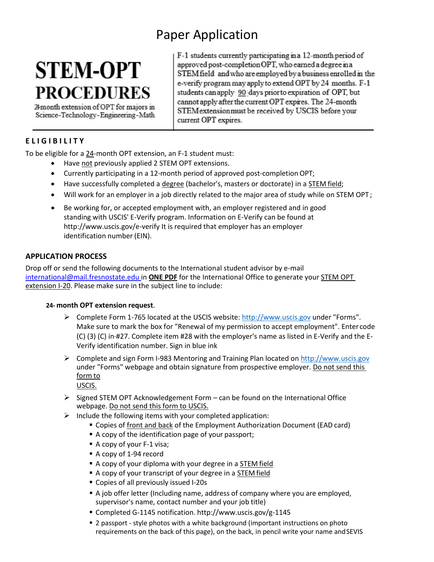# Paper Application

# **STEM-OPT PROCEDURES**

24 month extension of OPT for majors in Science-Technology-Engineering-Math F-1 students currently participating in a 12-month period of approved post-completion OPT, who earned a degree in a STEM field and who are employed by a business enrolled in the e-verify program may apply to extend OPT by 24 months. F-1 students can apply 90 days prior to expiration of OPT, but cannot apply after the current OPT expires. The 24-month STEM extension must be received by USCIS before your current OPT expires.

### **E L I G I B I L I T Y**

To be eligible for a 24-month OPT extension, an F-1 student must:

- Have not previously applied 2 STEM OPT extensions.
- Currently participating in a 12-month period of approved post-completionOPT;
- Have successfully completed a degree (bachelor's, masters or doctorate) in a STEM field;
- Will work for an employer in a job directly related to the major area of study while on STEM OPT ;
- Be working for, or accepted employment with, an employer registered and in good standing with USCIS' E-Verify program. Information on E-Verify can be found a[t](http://www.uscis.gov/e-verify) [http://www.uscis.gov/e-verify I](http://www.uscis.gov/e-verify)t is required that employer has an employer identification number (EIN).

#### **APPLICATION PROCESS**

Drop off or send the following documents to the International student advisor by e-mail [international@mail.fresnostate.edu i](mailto:international@mail.fresnostate.edu)n **ONE PDF** for the International Office to generate your STEM OPT extension I-20. Please make sure in the subject line to include:

#### **24- month OPT extension request**.

- Complete Form 1-765 located at the USCIS website: [http://www.uscis.gov](http://www.uscis.gov/) under "Forms". Make sure to mark the box for "Renewal of my permission to accept employment". Enter code (C) (3) (C) in·#27. Complete item #28 with the employer's name as listed in E-Verify and the E-Verify identification number. Sign in blue ink
- Complete and sign Form I-983 Mentoring and Training Plan located on [http://www.uscis.gov](http://www.uscis.gov/) under "Forms" webpage and obtain signature from prospective employer. Do not send this form to

USCIS.

- $\triangleright$  Signed STEM OPT Acknowledgement Form can be found on the International Office webpage. Do not send this form to USCIS.
- $\triangleright$  Include the following items with your completed application:
	- Copies of front and back of the Employment Authorization Document (EAD card)
	- A copy of the identification page of your passport;
	- A copy of your F-1 visa;
	- A copy of 1-94 record
	- A copy of your diploma with your degree in a STEM field
	- A copy of your transcript of your degree in a STEM field
	- Copies of all previously issued I-20s
	- A job offer letter (Including name, address of company where you are employed, supervisor's name, contact number and your job title)
	- Completed G-1145 notification. <http://www.uscis.gov/g-1145>
	- 2 passport style photos with a white background (important instructions on photo requirements on the back of this page), on the back, in pencil write your name andSEVIS